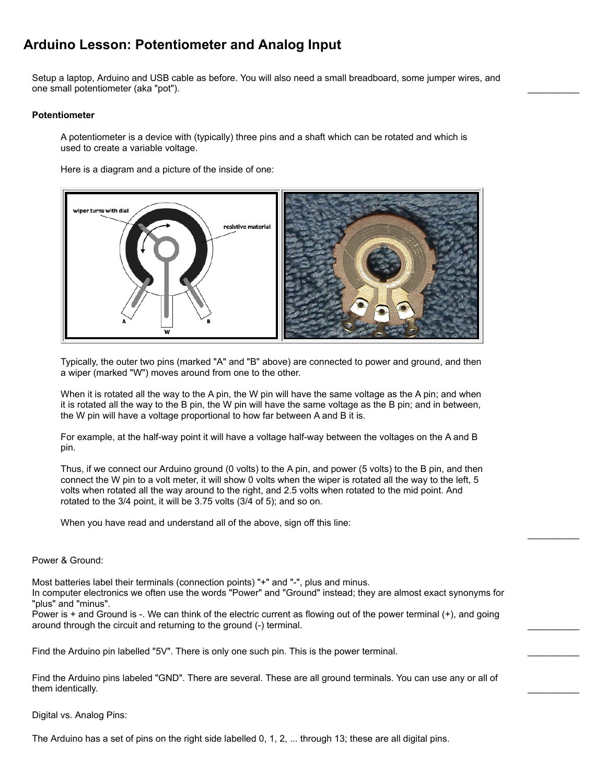# **Arduino Lesson: Potentiometer and Analog Input**

Setup a laptop, Arduino and USB cable as before. You will also need a small breadboard, some jumper wires, and one small potentiometer (aka "pot").

#### **Potentiometer**

A potentiometer is a device with (typically) three pins and a shaft which can be rotated and which is used to create a variable voltage.

Here is a diagram and a picture of the inside of one:



Typically, the outer two pins (marked "A" and "B" above) are connected to power and ground, and then a wiper (marked "W") moves around from one to the other.

When it is rotated all the way to the A pin, the W pin will have the same voltage as the A pin; and when it is rotated all the way to the B pin, the W pin will have the same voltage as the B pin; and in between, the W pin will have a voltage proportional to how far between A and B it is.

For example, at the half-way point it will have a voltage half-way between the voltages on the A and B pin.

Thus, if we connect our Arduino ground (0 volts) to the A pin, and power (5 volts) to the B pin, and then connect the W pin to a volt meter, it will show 0 volts when the wiper is rotated all the way to the left, 5 volts when rotated all the way around to the right, and 2.5 volts when rotated to the mid point. And rotated to the 3/4 point, it will be 3.75 volts (3/4 of 5); and so on.

 $\frac{1}{2}$ 

When you have read and understand all of the above, sign off this line:

#### Power & Ground:

Most batteries label their terminals (connection points) "+" and "-", plus and minus.

In computer electronics we often use the words "Power" and "Ground" instead; they are almost exact synonyms for "plus" and "minus".

Power is + and Ground is -. We can think of the electric current as flowing out of the power terminal (+), and going around through the circuit and returning to the ground (-) terminal.

Find the Arduino pin labelled "5V". There is only one such pin. This is the power terminal.

Find the Arduino pins labeled "GND". There are several. These are all ground terminals. You can use any or all of them identically.

Digital vs. Analog Pins:

The Arduino has a set of pins on the right side labelled 0, 1, 2, ... through 13; these are all digital pins.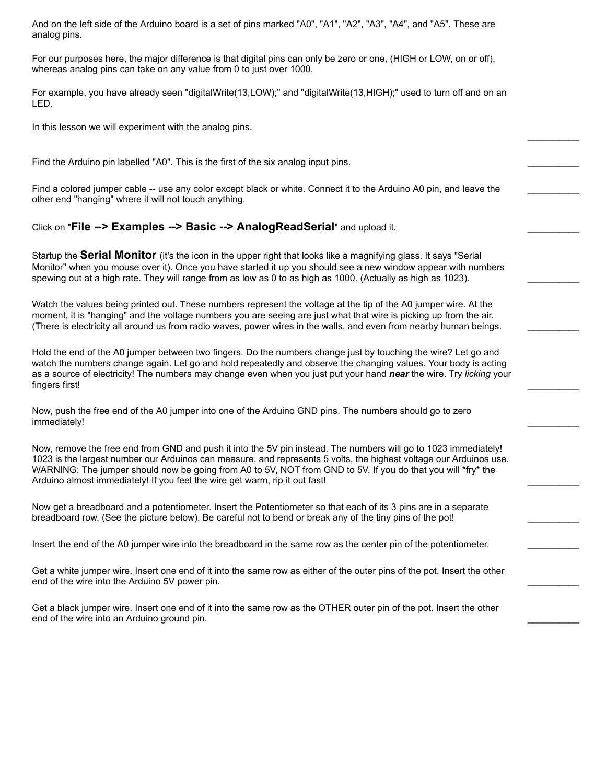And on the left side of the Arduino board is a set of pins marked "A0", "A1", "A2", "A3", "A4", and "A5". These are analog pins.

For our purposes here, the major difference is that digital pins can only be zero or one, (HIGH or LOW, on or off), whereas analog pins can take on any value from 0 to just over 1000.

For example, you have already seen "digitalWrite(13,LOW);" and "digitalWrite(13,HIGH);" used to turn off and on an LED.

In this lesson we will experiment with the analog pins.

Find the Arduino pin labelled "A0". This is the first of the six analog input pins.

Find a colored jumper cable -- use any color except black or white. Connect it to the Arduino A0 pin, and leave the other end "hanging" where it will not touch anything.

 $\frac{1}{2}$ 

### Click on "**File --> Examples --> Basic --> AnalogReadSerial**" and upload it.

Startup the **Serial Monitor** (it's the icon in the upper right that looks like a magnifying glass. It says "Serial Monitor" when you mouse over it). Once you have started it up you should see a new window appear with numbers spewing out at a high rate. They will range from as low as 0 to as high as 1000. (Actually as high as 1023).

Watch the values being printed out. These numbers represent the voltage at the tip of the A0 jumper wire. At the moment, it is "hanging" and the voltage numbers you are seeing are just what that wire is picking up from the air. (There is electricity all around us from radio waves, power wires in the walls, and even from nearby human beings.

Hold the end of the A0 jumper between two fingers. Do the numbers change just by touching the wire? Let go and watch the numbers change again. Let go and hold repeatedly and observe the changing values. Your body is acting as a source of electricity! The numbers may change even when you just put your hand *near* the wire. Try *licking* your fingers first! \_\_\_\_\_\_\_\_\_\_

Now, push the free end of the A0 jumper into one of the Arduino GND pins. The numbers should go to zero immediately! \_\_\_\_\_\_\_\_\_\_

Now, remove the free end from GND and push it into the 5V pin instead. The numbers will go to 1023 immediately! 1023 is the largest number our Arduinos can measure, and represents 5 volts, the highest voltage our Arduinos use. WARNING: The jumper should now be going from A0 to 5V, NOT from GND to 5V. If you do that you will \*fry\* the Arduino almost immediately! If you feel the wire get warm, rip it out fast!

Now get a breadboard and a potentiometer. Insert the Potentiometer so that each of its 3 pins are in a separate breadboard row. (See the picture below). Be careful not to bend or break any of the tiny pins of the pot!

Insert the end of the A0 jumper wire into the breadboard in the same row as the center pin of the potentiometer.

Get a white jumper wire. Insert one end of it into the same row as either of the outer pins of the pot. Insert the other end of the wire into the Arduino 5V power pin.

Get a black jumper wire. Insert one end of it into the same row as the OTHER outer pin of the pot. Insert the other end of the wire into an Arduino ground pin.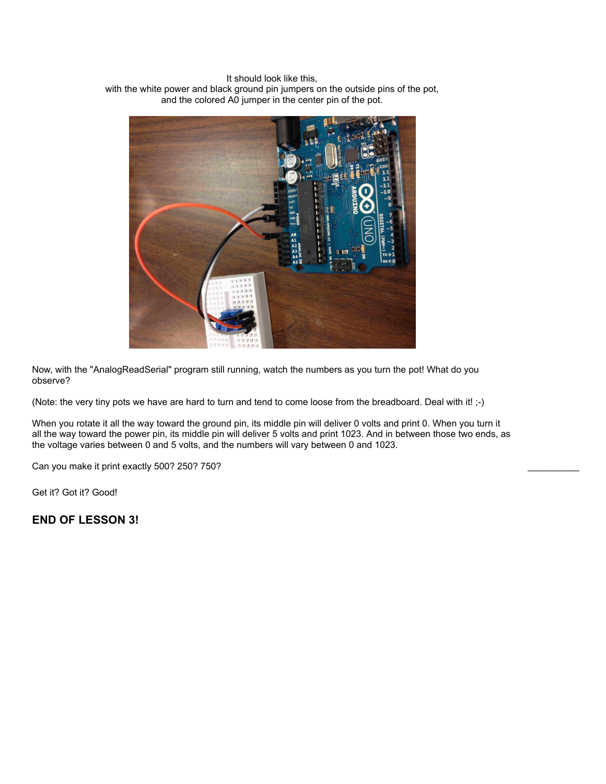It should look like this,

with the white power and black ground pin jumpers on the outside pins of the pot, and the colored A0 jumper in the center pin of the pot.



Now, with the "AnalogReadSerial" program still running, watch the numbers as you turn the pot! What do you observe?

(Note: the very tiny pots we have are hard to turn and tend to come loose from the breadboard. Deal with it! ;-)

When you rotate it all the way toward the ground pin, its middle pin will deliver 0 volts and print 0. When you turn it all the way toward the power pin, its middle pin will deliver 5 volts and print 1023. And in between those two ends, as the voltage varies between 0 and 5 volts, and the numbers will vary between 0 and 1023.

Can you make it print exactly 500? 250? 750?

Get it? Got it? Good!

**END OF LESSON 3!**